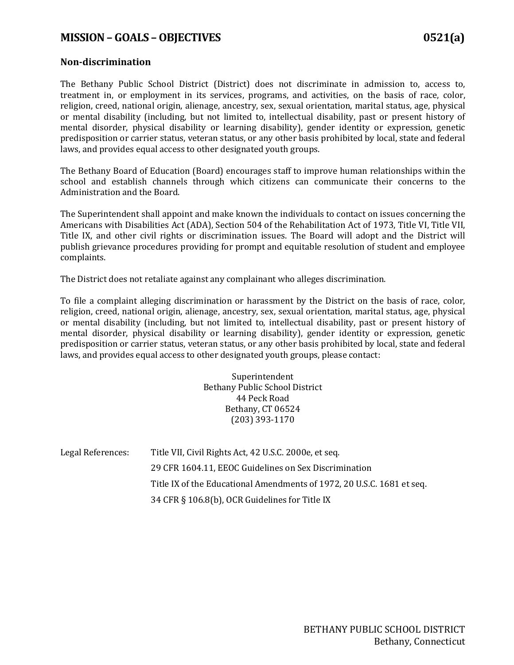## **MISSION – GOALS –OBJECTIVES 0521(a)**

## **Non-discrimination**

The Bethany Public School District (District) does not discriminate in admission to, access to, treatment in, or employment in its services, programs, and activities, on the basis of race, color, religion, creed, national origin, alienage, ancestry, sex, sexual orientation, marital status, age, physical or mental disability (including, but not limited to, intellectual disability, past or present history of mental disorder, physical disability or learning disability), gender identity or expression, genetic predisposition or carrier status, veteran status, or any other basis prohibited by local, state and federal laws, and provides equal access to other designated youth groups.

The Bethany Board of Education (Board) encourages staff to improve human relationships within the school and establish channels through which citizens can communicate their concerns to the Administration and the Board.

The Superintendent shall appoint and make known the individuals to contact on issues concerning the Americans with Disabilities Act (ADA), Section 504 of the Rehabilitation Act of 1973, Title VI, Title VII, Title IX, and other civil rights or discrimination issues. The Board will adopt and the District will publish grievance procedures providing for prompt and equitable resolution of student and employee complaints.

The District does not retaliate against any complainant who alleges discrimination.

To file a complaint alleging discrimination or harassment by the District on the basis of race, color, religion, creed, national origin, alienage, ancestry, sex, sexual orientation, marital status, age, physical or mental disability (including, but not limited to, intellectual disability, past or present history of mental disorder, physical disability or learning disability), gender identity or expression, genetic predisposition or carrier status, veteran status, or any other basis prohibited by local, state and federal laws, and provides equal access to other designated youth groups, please contact:

> Superintendent Bethany Public School District 44 Peck Road Bethany, CT 06524 (203) 393-1170

| Legal References: | Title VII, Civil Rights Act, 42 U.S.C. 2000e, et seq.                  |
|-------------------|------------------------------------------------------------------------|
|                   | 29 CFR 1604.11, EEOC Guidelines on Sex Discrimination                  |
|                   | Title IX of the Educational Amendments of 1972, 20 U.S.C. 1681 et seq. |
|                   | 34 CFR § 106.8(b), OCR Guidelines for Title IX                         |